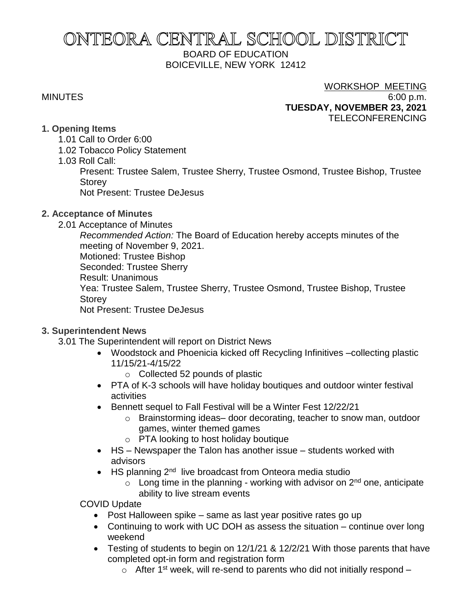# ONTEORA CENTRAL SCHOOL DISTRICT BOARD OF EDUCATION BOICEVILLE, NEW YORK 12412

# WORKSHOP MEETING

MINUTES 6:00 p.m. **TUESDAY, NOVEMBER 23, 2021** TELECONFERENCING

# **1. Opening Items**

- 1.01 Call to Order 6:00
- 1.02 Tobacco Policy Statement
- 1.03 Roll Call:

Present: Trustee Salem, Trustee Sherry, Trustee Osmond, Trustee Bishop, Trustee Storey

Not Present: Trustee DeJesus

# **2. Acceptance of Minutes**

2.01 Acceptance of Minutes

*Recommended Action:* The Board of Education hereby accepts minutes of the meeting of November 9, 2021. Motioned: Trustee Bishop Seconded: Trustee Sherry Result: Unanimous Yea: Trustee Salem, Trustee Sherry, Trustee Osmond, Trustee Bishop, Trustee

**Storey** 

Not Present: Trustee DeJesus

# **3. Superintendent News**

- 3.01 The Superintendent will report on District News
	- Woodstock and Phoenicia kicked off Recycling Infinitives –collecting plastic 11/15/21-4/15/22
		- o Collected 52 pounds of plastic
	- PTA of K-3 schools will have holiday boutiques and outdoor winter festival activities
	- Bennett sequel to Fall Festival will be a Winter Fest 12/22/21
		- o Brainstorming ideas– door decorating, teacher to snow man, outdoor games, winter themed games
		- o PTA looking to host holiday boutique
	- HS Newspaper the Talon has another issue students worked with advisors
	- HS planning 2<sup>nd</sup> live broadcast from Onteora media studio
		- $\circ$  Long time in the planning working with advisor on  $2<sup>nd</sup>$  one, anticipate ability to live stream events

COVID Update

- Post Halloween spike same as last year positive rates go up
- Continuing to work with UC DOH as assess the situation continue over long weekend
- Testing of students to begin on 12/1/21 & 12/2/21 With those parents that have completed opt-in form and registration form
	- $\circ$  After 1<sup>st</sup> week, will re-send to parents who did not initially respond –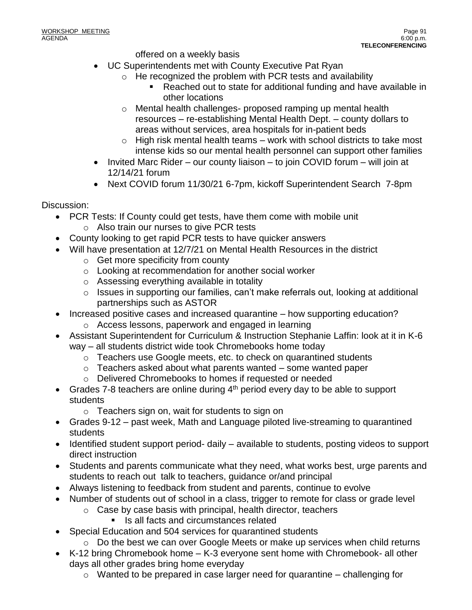offered on a weekly basis

- UC Superintendents met with County Executive Pat Ryan
	- o He recognized the problem with PCR tests and availability
		- Reached out to state for additional funding and have available in other locations
	- o Mental health challenges- proposed ramping up mental health resources – re-establishing Mental Health Dept. – county dollars to areas without services, area hospitals for in-patient beds
	- $\circ$  High risk mental health teams work with school districts to take most intense kids so our mental health personnel can support other families
- Invited Marc Rider our county liaison to join COVID forum will join at 12/14/21 forum
- Next COVID forum 11/30/21 6-7pm, kickoff Superintendent Search 7-8pm

Discussion:

- PCR Tests: If County could get tests, have them come with mobile unit o Also train our nurses to give PCR tests
- County looking to get rapid PCR tests to have quicker answers
- Will have presentation at 12/7/21 on Mental Health Resources in the district
	- o Get more specificity from county
	- o Looking at recommendation for another social worker
	- o Assessing everything available in totality
	- o Issues in supporting our families, can't make referrals out, looking at additional partnerships such as ASTOR
- Increased positive cases and increased quarantine how supporting education?
	- o Access lessons, paperwork and engaged in learning
- Assistant Superintendent for Curriculum & Instruction Stephanie Laffin: look at it in K-6 way – all students district wide took Chromebooks home today
	- o Teachers use Google meets, etc. to check on quarantined students
	- $\circ$  Teachers asked about what parents wanted some wanted paper
	- o Delivered Chromebooks to homes if requested or needed
- Grades 7-8 teachers are online during  $4<sup>th</sup>$  period every day to be able to support students
	- o Teachers sign on, wait for students to sign on
- Grades 9-12 past week, Math and Language piloted live-streaming to quarantined students
- Identified student support period- daily available to students, posting videos to support direct instruction
- Students and parents communicate what they need, what works best, urge parents and students to reach out talk to teachers, guidance or/and principal
- Always listening to feedback from student and parents, continue to evolve
- Number of students out of school in a class, trigger to remote for class or grade level
	- o Case by case basis with principal, health director, teachers
		- Is all facts and circumstances related
- Special Education and 504 services for quarantined students
- $\circ$  Do the best we can over Google Meets or make up services when child returns
- K-12 bring Chromebook home K-3 everyone sent home with Chromebook- all other days all other grades bring home everyday
	- o Wanted to be prepared in case larger need for quarantine challenging for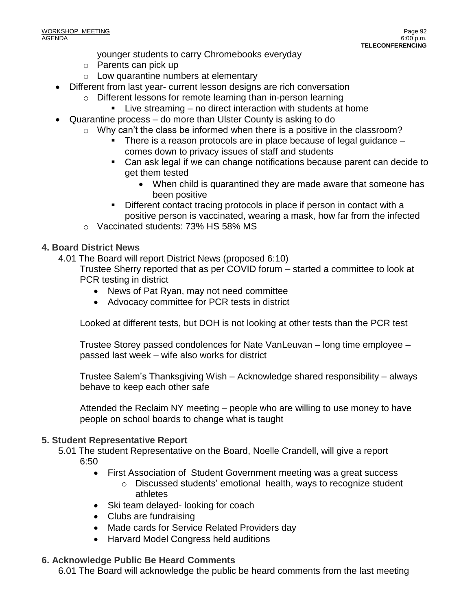- younger students to carry Chromebooks everyday
- o Parents can pick up
- o Low quarantine numbers at elementary
- Different from last year- current lesson designs are rich conversation
	- o Different lessons for remote learning than in-person learning
		- Live streaming no direct interaction with students at home
- Quarantine process do more than Ulster County is asking to do
	- $\circ$  Why can't the class be informed when there is a positive in the classroom?
		- There is a reason protocols are in place because of legal guidance  $$ 
			- comes down to privacy issues of staff and students
		- Can ask legal if we can change notifications because parent can decide to get them tested
			- When child is quarantined they are made aware that someone has been positive
		- Different contact tracing protocols in place if person in contact with a positive person is vaccinated, wearing a mask, how far from the infected
	- o Vaccinated students: 73% HS 58% MS

# **4. Board District News**

4.01 The Board will report District News (proposed 6:10)

Trustee Sherry reported that as per COVID forum – started a committee to look at PCR testing in district

- News of Pat Ryan, may not need committee
- Advocacy committee for PCR tests in district

Looked at different tests, but DOH is not looking at other tests than the PCR test

Trustee Storey passed condolences for Nate VanLeuvan – long time employee – passed last week – wife also works for district

Trustee Salem's Thanksgiving Wish – Acknowledge shared responsibility – always behave to keep each other safe

Attended the Reclaim NY meeting – people who are willing to use money to have people on school boards to change what is taught

# **5. Student Representative Report**

5.01 The student Representative on the Board, Noelle Crandell, will give a report 6:50

- First Association of Student Government meeting was a great success
	- o Discussed students' emotional health, ways to recognize student athletes
- Ski team delayed- looking for coach
- Clubs are fundraising
- Made cards for Service Related Providers day
- Harvard Model Congress held auditions

# **6. Acknowledge Public Be Heard Comments**

6.01 The Board will acknowledge the public be heard comments from the last meeting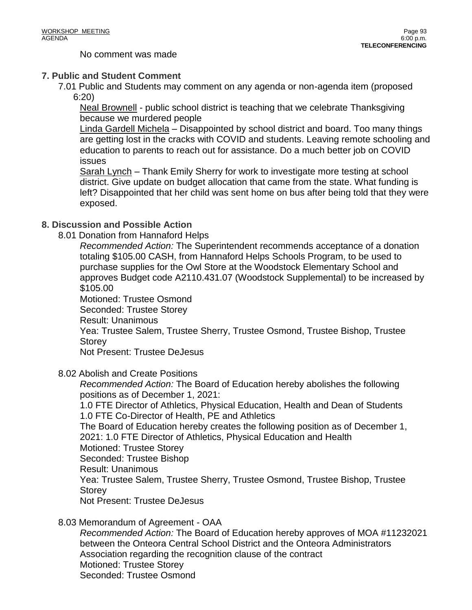No comment was made

# **7. Public and Student Comment**

7.01 Public and Students may comment on any agenda or non-agenda item (proposed 6:20)

Neal Brownell - public school district is teaching that we celebrate Thanksgiving because we murdered people

Linda Gardell Michela – Disappointed by school district and board. Too many things are getting lost in the cracks with COVID and students. Leaving remote schooling and education to parents to reach out for assistance. Do a much better job on COVID issues

Sarah Lynch – Thank Emily Sherry for work to investigate more testing at school district. Give update on budget allocation that came from the state. What funding is left? Disappointed that her child was sent home on bus after being told that they were exposed.

# **8. Discussion and Possible Action**

8.01 Donation from Hannaford Helps

*Recommended Action:* The Superintendent recommends acceptance of a donation totaling \$105.00 CASH, from Hannaford Helps Schools Program, to be used to purchase supplies for the Owl Store at the Woodstock Elementary School and approves Budget code A2110.431.07 (Woodstock Supplemental) to be increased by \$105.00

Motioned: Trustee Osmond

Seconded: Trustee Storey

Result: Unanimous

Yea: Trustee Salem, Trustee Sherry, Trustee Osmond, Trustee Bishop, Trustee Storey

Not Present: Trustee DeJesus

8.02 Abolish and Create Positions

*Recommended Action:* The Board of Education hereby abolishes the following positions as of December 1, 2021:

1.0 FTE Director of Athletics, Physical Education, Health and Dean of Students 1.0 FTE Co-Director of Health, PE and Athletics

The Board of Education hereby creates the following position as of December 1, 2021: 1.0 FTE Director of Athletics, Physical Education and Health Motioned: Trustee Storey Seconded: Trustee Bishop Result: Unanimous Yea: Trustee Salem, Trustee Sherry, Trustee Osmond, Trustee Bishop, Trustee **Storey** 

Not Present: Trustee DeJesus

# 8.03 Memorandum of Agreement - OAA

*Recommended Action:* The Board of Education hereby approves of MOA #11232021 between the Onteora Central School District and the Onteora Administrators Association regarding the recognition clause of the contract Motioned: Trustee Storey Seconded: Trustee Osmond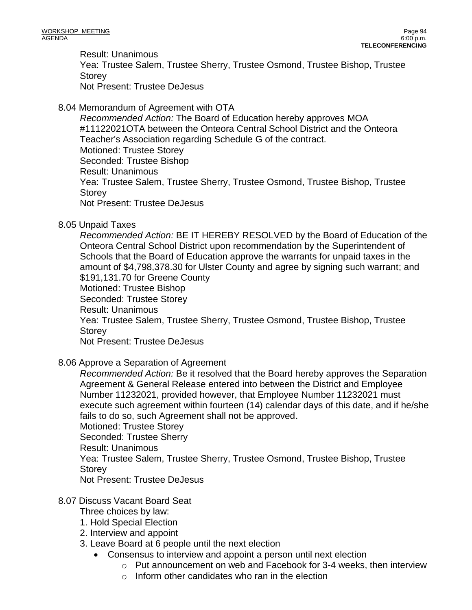Result: Unanimous Yea: Trustee Salem, Trustee Sherry, Trustee Osmond, Trustee Bishop, Trustee Storey Not Present: Trustee DeJesus

# 8.04 Memorandum of Agreement with OTA

*Recommended Action:* The Board of Education hereby approves MOA #11122021OTA between the Onteora Central School District and the Onteora Teacher's Association regarding Schedule G of the contract. Motioned: Trustee Storey Seconded: Trustee Bishop Result: Unanimous Yea: Trustee Salem, Trustee Sherry, Trustee Osmond, Trustee Bishop, Trustee **Storey** Not Present: Trustee DeJesus

# 8.05 Unpaid Taxes

*Recommended Action:* BE IT HEREBY RESOLVED by the Board of Education of the Onteora Central School District upon recommendation by the Superintendent of Schools that the Board of Education approve the warrants for unpaid taxes in the amount of \$4,798,378.30 for Ulster County and agree by signing such warrant; and \$191,131.70 for Greene County Motioned: Trustee Bishop Seconded: Trustee Storey Result: Unanimous Yea: Trustee Salem, Trustee Sherry, Trustee Osmond, Trustee Bishop, Trustee **Storey** 

Not Present: Trustee DeJesus

# 8.06 Approve a Separation of Agreement

*Recommended Action:* Be it resolved that the Board hereby approves the Separation Agreement & General Release entered into between the District and Employee Number 11232021, provided however, that Employee Number 11232021 must execute such agreement within fourteen (14) calendar days of this date, and if he/she fails to do so, such Agreement shall not be approved. Motioned: Trustee Storey

Seconded: Trustee Sherry

Result: Unanimous

Yea: Trustee Salem, Trustee Sherry, Trustee Osmond, Trustee Bishop, Trustee **Storey** 

Not Present: Trustee DeJesus

# 8.07 Discuss Vacant Board Seat

Three choices by law:

- 1. Hold Special Election
- 2. Interview and appoint
- 3. Leave Board at 6 people until the next election
	- Consensus to interview and appoint a person until next election
		- o Put announcement on web and Facebook for 3-4 weeks, then interview
		- $\circ$  Inform other candidates who ran in the election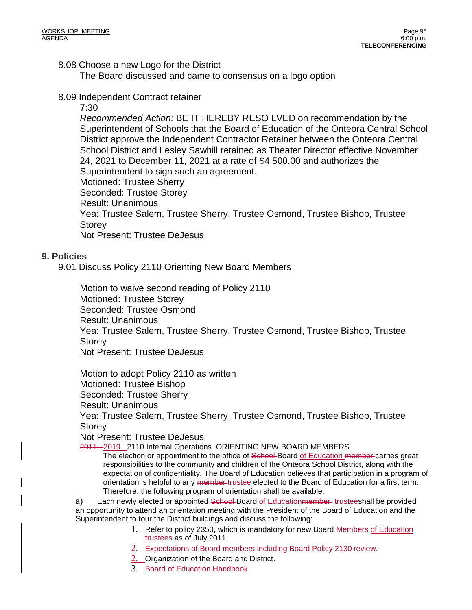# 8.08 Choose a new Logo for the District

The Board discussed and came to consensus on a logo option

8.09 Independent Contract retainer

### 7:30

*Recommended Action:* BE IT HEREBY RESO LVED on recommendation by the Superintendent of Schools that the Board of Education of the Onteora Central School District approve the Independent Contractor Retainer between the Onteora Central School District and Lesley Sawhill retained as Theater Director effective November 24, 2021 to December 11, 2021 at a rate of \$4,500.00 and authorizes the Superintendent to sign such an agreement. Motioned: Trustee Sherry

Seconded: Trustee Storey

Result: Unanimous

Yea: Trustee Salem, Trustee Sherry, Trustee Osmond, Trustee Bishop, Trustee **Storey** 

Not Present: Trustee DeJesus

# **9. Policies**

9.01 Discuss Policy 2110 Orienting New Board Members

Motion to waive second reading of Policy 2110 Motioned: Trustee Storey Seconded: Trustee Osmond Result: Unanimous Yea: Trustee Salem, Trustee Sherry, Trustee Osmond, Trustee Bishop, Trustee Storey Not Present: Trustee DeJesus

Motion to adopt Policy 2110 as written Motioned: Trustee Bishop

Seconded: Trustee Sherry

Result: Unanimous

Yea: Trustee Salem, Trustee Sherry, Trustee Osmond, Trustee Bishop, Trustee Storey

Not Present: Trustee DeJesus

2011 2019 2110 Internal Operations ORIENTING NEW BOARD MEMBERS

The election or appointment to the office of School-Board of Education member-carries great responsibilities to the community and children of the Onteora School District, along with the expectation of confidentiality. The Board of Education believes that participation in a program of orientation is helpful to any member trustee elected to the Board of Education for a first term. Therefore, the following program of orientation shall be available:

a) Each newly elected or appointed School-Board of Education member-trusteeshall be provided an opportunity to attend an orientation meeting with the President of the Board of Education and the Superintendent to tour the District buildings and discuss the following:

- 1. Refer to policy 2350, which is mandatory for new Board Members of Education trustees as of July 2011
- 2. Expectations of Board members including Board Policy 2130 review.
- 2. Organization of the Board and District.
- 3. Board of Education Handbook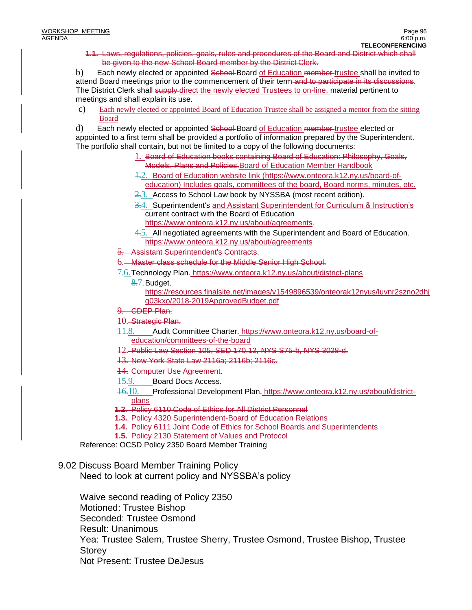**1.1.** Laws, regulations, policies, goals, rules and procedures of the Board and District which shall be given to the new School Board member by the District Clerk.

b) Each newly elected or appointed School Board of Education member-trustee shall be invited to attend Board meetings prior to the commencement of their term and to participate in its discussions. The District Clerk shall supply direct the newly elected Trustees to on-line. material pertinent to meetings and shall explain its use.

c) Each newly elected or appointed Board of Education Trustee shall be assigned a mentor from the sitting Board

d) Each newly elected or appointed School-Board of Education member-trustee elected or

appointed to a first term shall be provided a portfolio of information prepared by the Superintendent. The portfolio shall contain, but not be limited to a copy of the following documents:

- 1. Board of Education books containing Board of Education: Philosophy, Goals, Models, Plans and Policies.Board of Education Member Handbook
- 1.2. Board of Education website link [\(https://www.onteora.k12.ny.us/board-of](https://www.onteora.k12.ny.us/board-of-education)[education\)](https://www.onteora.k12.ny.us/board-of-education) Includes goals, committees of the board, Board norms, minutes, etc.
- $2.3.$  Access to School Law book by NYSSBA (most recent edition).
- 3.4. Superintendent's and Assistant Superintendent for Curriculum & Instruction's current contract with the Board of Education [https://www.onteora.k12.ny.us/about/agreements.](https://www.onteora.k12.ny.us/about/agreements)
- 4.5. All negotiated agreements with the Superintendent and Board of Education. <https://www.onteora.k12.ny.us/about/agreements>
- **Assistant Superintendent's Contracts.**
- 6. Master class schedule for the Middle Senior High School.
- 7.6.Technology Plan. <https://www.onteora.k12.ny.us/about/district-plans>
	- 8.7. Budget.

https://resources.finalsite.net/images/v1549896539/onteorak12nyus/luvnr2szno2dhj g03kxo/2018-2019ApprovedBudget.pdf

- 9. CDEP Plan.
- 10. Strategic Plan.
- 11.8. Audit Committee Charter. [https://www.onteora.k12.ny.us/board-of](https://www.onteora.k12.ny.us/board-of-education/committees-of-the-board)[education/committees-of-the-board](https://www.onteora.k12.ny.us/board-of-education/committees-of-the-board)
- 12. Public Law Section 105, SED 170.12, NYS S75-b, NYS 3028-d.
- 13. New York State Law 2116a; 2116b; 2116c.
- 14. Computer Use Agreement.
- 15.9. Board Docs Access.
- 16.10. Professional Development Plan. [https://www.onteora.k12.ny.us/about/district](https://www.onteora.k12.ny.us/about/district-plans)[plans](https://www.onteora.k12.ny.us/about/district-plans)
- **1.2.** Policy 6110 Code of Ethics for All District Personnel
- **1.3.** Policy 4320 Superintendent-Board of Education Relations
- **1.4.** Policy 6111 Joint Code of Ethics for School Boards and Superintendents
- **1.5.** Policy 2130 Statement of Values and Protocol

Reference: OCSD Policy 2350 Board Member Training

# 9.02 Discuss Board Member Training Policy

Need to look at current policy and NYSSBA's policy

Waive second reading of Policy 2350 Motioned: Trustee Bishop Seconded: Trustee Osmond Result: Unanimous Yea: Trustee Salem, Trustee Sherry, Trustee Osmond, Trustee Bishop, Trustee **Storey** Not Present: Trustee DeJesus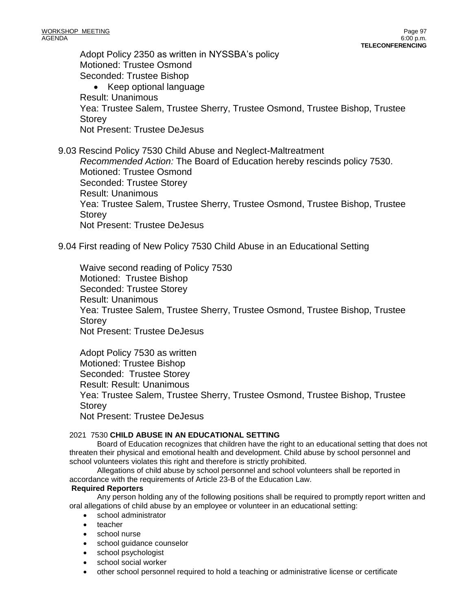Adopt Policy 2350 as written in NYSSBA's policy Motioned: Trustee Osmond Seconded: Trustee Bishop • Keep optional language Result: Unanimous Yea: Trustee Salem, Trustee Sherry, Trustee Osmond, Trustee Bishop, Trustee **Storey** Not Present: Trustee DeJesus

9.03 Rescind Policy 7530 Child Abuse and Neglect-Maltreatment *Recommended Action:* The Board of Education hereby rescinds policy 7530. Motioned: Trustee Osmond Seconded: Trustee Storey Result: Unanimous Yea: Trustee Salem, Trustee Sherry, Trustee Osmond, Trustee Bishop, Trustee Storey Not Present: Trustee DeJesus

9.04 First reading of New Policy 7530 Child Abuse in an Educational Setting

Waive second reading of Policy 7530 Motioned: Trustee Bishop Seconded: Trustee Storey Result: Unanimous Yea: Trustee Salem, Trustee Sherry, Trustee Osmond, Trustee Bishop, Trustee Storey Not Present: Trustee DeJesus

Adopt Policy 7530 as written Motioned: Trustee Bishop Seconded: Trustee Storey Result: Result: Unanimous Yea: Trustee Salem, Trustee Sherry, Trustee Osmond, Trustee Bishop, Trustee **Storey** Not Present: Trustee DeJesus

### 2021 7530 **CHILD ABUSE IN AN EDUCATIONAL SETTING**

Board of Education recognizes that children have the right to an educational setting that does not threaten their physical and emotional health and development. Child abuse by school personnel and school volunteers violates this right and therefore is strictly prohibited.

Allegations of child abuse by school personnel and school volunteers shall be reported in accordance with the requirements of Article 23-B of the Education Law.

#### **Required Reporters**

Any person holding any of the following positions shall be required to promptly report written and oral allegations of child abuse by an employee or volunteer in an educational setting:

- school administrator
- teacher
- school nurse
- school guidance counselor
- school psychologist
- school social worker
- other school personnel required to hold a teaching or administrative license or certificate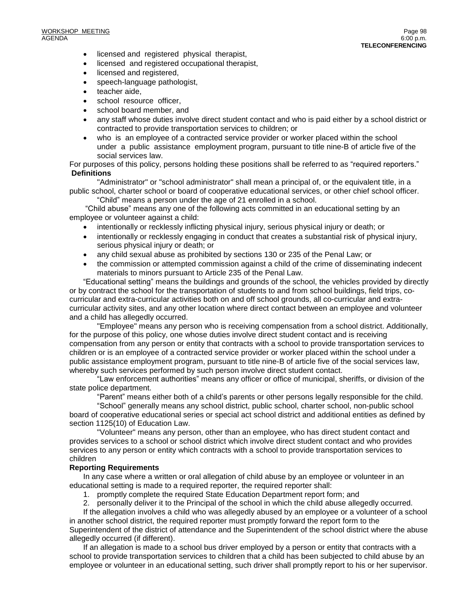- licensed and registered physical therapist,
- licensed and registered occupational therapist,
- licensed and registered,
- speech-language pathologist,
- teacher aide.
- school resource officer,
- school board member, and
- any staff whose duties involve direct student contact and who is paid either by a school district or contracted to provide transportation services to children; or
- who is an employee of a contracted service provider or worker placed within the school under a public assistance employment program, pursuant to title nine-B of article five of the social services law.

For purposes of this policy, persons holding these positions shall be referred to as "required reporters." **Definitions**

"Administrator" or "school administrator" shall mean a principal of, or the equivalent title, in a public school, charter school or board of cooperative educational services, or other chief school officer.

"Child" means a person under the age of 21 enrolled in a school.

"Child abuse" means any one of the following acts committed in an educational setting by an employee or volunteer against a child:

- intentionally or recklessly inflicting physical injury, serious physical injury or death; or
- intentionally or recklessly engaging in conduct that creates a substantial risk of physical injury, serious physical injury or death; or
- any child sexual abuse as prohibited by sections 130 or 235 of the Penal Law; or
- the commission or attempted commission against a child of the crime of disseminating indecent materials to minors pursuant to Article 235 of the Penal Law.

"Educational setting" means the buildings and grounds of the school, the vehicles provided by directly or by contract the school for the transportation of students to and from school buildings, field trips, cocurricular and extra-curricular activities both on and off school grounds, all co-curricular and extracurricular activity sites, and any other location where direct contact between an employee and volunteer and a child has allegedly occurred.

"Employee" means any person who is receiving compensation from a school district. Additionally, for the purpose of this policy, one whose duties involve direct student contact and is receiving compensation from any person or entity that contracts with a school to provide transportation services to children or is an employee of a contracted service provider or worker placed within the school under a public assistance employment program, pursuant to title nine-B of article five of the social services law, whereby such services performed by such person involve direct student contact.

"Law enforcement authorities" means any officer or office of municipal, sheriffs, or division of the state police department.

"Parent" means either both of a child's parents or other persons legally responsible for the child.

"School" generally means any school district, public school, charter school, non-public school board of cooperative educational series or special act school district and additional entities as defined by section 1125(10) of Education Law.

"Volunteer" means any person, other than an employee, who has direct student contact and provides services to a school or school district which involve direct student contact and who provides services to any person or entity which contracts with a school to provide transportation services to children

#### **Reporting Requirements**

In any case where a written or oral allegation of child abuse by an employee or volunteer in an educational setting is made to a required reporter, the required reporter shall:

- 1. promptly complete the required State Education Department report form; and
- 2. personally deliver it to the Principal of the school in which the child abuse allegedly occurred.

If the allegation involves a child who was allegedly abused by an employee or a volunteer of a school in another school district, the required reporter must promptly forward the report form to the Superintendent of the district of attendance and the Superintendent of the school district where the abuse allegedly occurred (if different).

If an allegation is made to a school bus driver employed by a person or entity that contracts with a school to provide transportation services to children that a child has been subjected to child abuse by an employee or volunteer in an educational setting, such driver shall promptly report to his or her supervisor.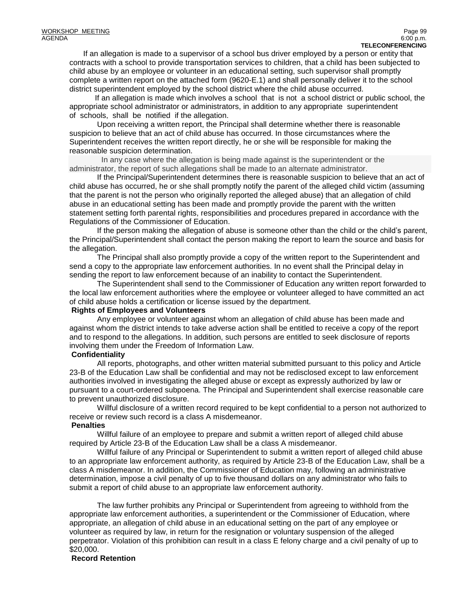If an allegation is made to a supervisor of a school bus driver employed by a person or entity that contracts with a school to provide transportation services to children, that a child has been subjected to child abuse by an employee or volunteer in an educational setting, such supervisor shall promptly complete a written report on the attached form (9620-E.1) and shall personally deliver it to the school district superintendent employed by the school district where the child abuse occurred.

 If an allegation is made which involves a school that is not a school district or public school, the appropriate school administrator or administrators, in addition to any appropriate superintendent of schools, shall be notified if the allegation.

Upon receiving a written report, the Principal shall determine whether there is reasonable suspicion to believe that an act of child abuse has occurred. In those circumstances where the Superintendent receives the written report directly, he or she will be responsible for making the reasonable suspicion determination.

 In any case where the allegation is being made against is the superintendent or the administrator, the report of such allegations shall be made to an alternate administrator.

If the Principal/Superintendent determines there is reasonable suspicion to believe that an act of child abuse has occurred, he or she shall promptly notify the parent of the alleged child victim (assuming that the parent is not the person who originally reported the alleged abuse) that an allegation of child abuse in an educational setting has been made and promptly provide the parent with the written statement setting forth parental rights, responsibilities and procedures prepared in accordance with the Regulations of the Commissioner of Education.

If the person making the allegation of abuse is someone other than the child or the child's parent, the Principal/Superintendent shall contact the person making the report to learn the source and basis for the allegation.

The Principal shall also promptly provide a copy of the written report to the Superintendent and send a copy to the appropriate law enforcement authorities. In no event shall the Principal delay in sending the report to law enforcement because of an inability to contact the Superintendent.

The Superintendent shall send to the Commissioner of Education any written report forwarded to the local law enforcement authorities where the employee or volunteer alleged to have committed an act of child abuse holds a certification or license issued by the department.

### **Rights of Employees and Volunteers**

Any employee or volunteer against whom an allegation of child abuse has been made and against whom the district intends to take adverse action shall be entitled to receive a copy of the report and to respond to the allegations. In addition, such persons are entitled to seek disclosure of reports involving them under the Freedom of Information Law.

# **Confidentiality**

All reports, photographs, and other written material submitted pursuant to this policy and Article 23-B of the Education Law shall be confidential and may not be redisclosed except to law enforcement authorities involved in investigating the alleged abuse or except as expressly authorized by law or pursuant to a court-ordered subpoena. The Principal and Superintendent shall exercise reasonable care to prevent unauthorized disclosure.

Willful disclosure of a written record required to be kept confidential to a person not authorized to receive or review such record is a class A misdemeanor.

# **Penalties**

Willful failure of an employee to prepare and submit a written report of alleged child abuse required by Article 23-B of the Education Law shall be a class A misdemeanor.

Willful failure of any Principal or Superintendent to submit a written report of alleged child abuse to an appropriate law enforcement authority, as required by Article 23-B of the Education Law, shall be a class A misdemeanor. In addition, the Commissioner of Education may, following an administrative determination, impose a civil penalty of up to five thousand dollars on any administrator who fails to submit a report of child abuse to an appropriate law enforcement authority.

The law further prohibits any Principal or Superintendent from agreeing to withhold from the appropriate law enforcement authorities, a superintendent or the Commissioner of Education, where appropriate, an allegation of child abuse in an educational setting on the part of any employee or volunteer as required by law, in return for the resignation or voluntary suspension of the alleged perpetrator. Violation of this prohibition can result in a class E felony charge and a civil penalty of up to \$20,000.

# **Record Retention**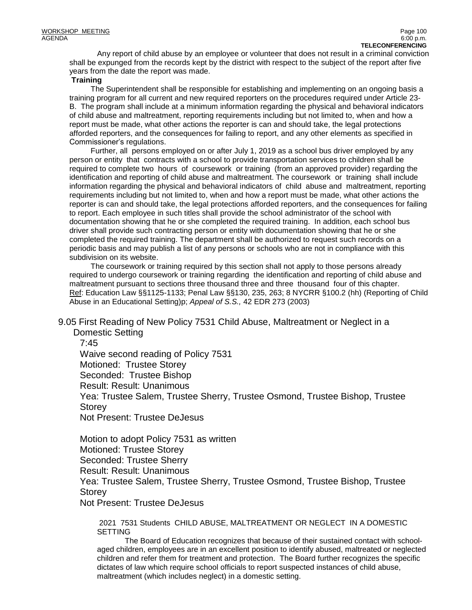Any report of child abuse by an employee or volunteer that does not result in a criminal conviction shall be expunged from the records kept by the district with respect to the subject of the report after five years from the date the report was made.

#### **Training**

 The Superintendent shall be responsible for establishing and implementing on an ongoing basis a training program for all current and new required reporters on the procedures required under Article 23- B. The program shall include at a minimum information regarding the physical and behavioral indicators of child abuse and maltreatment, reporting requirements including but not limited to, when and how a report must be made, what other actions the reporter is can and should take, the legal protections afforded reporters, and the consequences for failing to report, and any other elements as specified in Commissioner's regulations.

 Further, all persons employed on or after July 1, 2019 as a school bus driver employed by any person or entity that contracts with a school to provide transportation services to children shall be required to complete two hours of coursework or training (from an approved provider) regarding the identification and reporting of child abuse and maltreatment. The coursework or training shall include information regarding the physical and behavioral indicators of child abuse and maltreatment, reporting requirements including but not limited to, when and how a report must be made, what other actions the reporter is can and should take, the legal protections afforded reporters, and the consequences for failing to report. Each employee in such titles shall provide the school administrator of the school with documentation showing that he or she completed the required training. In addition, each school bus driver shall provide such contracting person or entity with documentation showing that he or she completed the required training. The department shall be authorized to request such records on a periodic basis and may publish a list of any persons or schools who are not in compliance with this subdivision on its website.

 The coursework or training required by this section shall not apply to those persons already required to undergo coursework or training regarding the identification and reporting of child abuse and maltreatment pursuant to sections three thousand three and three thousand four of this chapter. Ref: Education Law §§1125-1133; Penal Law §§130, 235, 263; 8 NYCRR §100.2 (hh) (Reporting of Child Abuse in an Educational Setting)p; *Appeal of S.S.,* 42 EDR 273 (2003)

9.05 First Reading of New Policy 7531 Child Abuse, Maltreatment or Neglect in a Domestic Setting

7:45

Waive second reading of Policy 7531 Motioned: Trustee Storey Seconded: Trustee Bishop Result: Result: Unanimous Yea: Trustee Salem, Trustee Sherry, Trustee Osmond, Trustee Bishop, Trustee **Storey** Not Present: Trustee DeJesus

Motion to adopt Policy 7531 as written Motioned: Trustee Storey Seconded: Trustee Sherry Result: Result: Unanimous Yea: Trustee Salem, Trustee Sherry, Trustee Osmond, Trustee Bishop, Trustee **Storey** 

Not Present: Trustee DeJesus

2021 7531 Students CHILD ABUSE, MALTREATMENT OR NEGLECT IN A DOMESTIC SETTING

 The Board of Education recognizes that because of their sustained contact with schoolaged children, employees are in an excellent position to identify abused, maltreated or neglected children and refer them for treatment and protection. The Board further recognizes the specific dictates of law which require school officials to report suspected instances of child abuse, maltreatment (which includes neglect) in a domestic setting.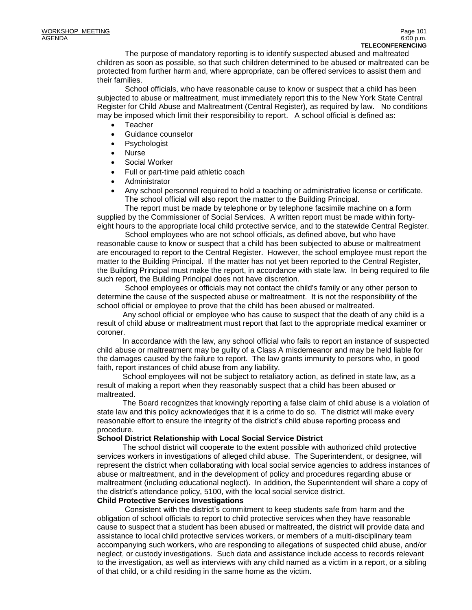The purpose of mandatory reporting is to identify suspected abused and maltreated children as soon as possible, so that such children determined to be abused or maltreated can be protected from further harm and, where appropriate, can be offered services to assist them and their families.

 School officials, who have reasonable cause to know or suspect that a child has been subjected to abuse or maltreatment, must immediately report this to the New York State Central Register for Child Abuse and Maltreatment (Central Register), as required by law. No conditions may be imposed which limit their responsibility to report. A school official is defined as:

- Teacher
- Guidance counselor
- Psychologist
- Nurse
- Social Worker
- Full or part-time paid athletic coach
- Administrator
- Any school personnel required to hold a teaching or administrative license or certificate. The school official will also report the matter to the Building Principal.

 The report must be made by telephone or by telephone facsimile machine on a form supplied by the Commissioner of Social Services. A written report must be made within fortyeight hours to the appropriate local child protective service, and to the statewide Central Register.

 School employees who are not school officials, as defined above, but who have reasonable cause to know or suspect that a child has been subjected to abuse or maltreatment are encouraged to report to the Central Register. However, the school employee must report the matter to the Building Principal. If the matter has not yet been reported to the Central Register, the Building Principal must make the report, in accordance with state law. In being required to file such report, the Building Principal does not have discretion.

 School employees or officials may not contact the child's family or any other person to determine the cause of the suspected abuse or maltreatment. It is not the responsibility of the school official or employee to prove that the child has been abused or maltreated.

 Any school official or employee who has cause to suspect that the death of any child is a result of child abuse or maltreatment must report that fact to the appropriate medical examiner or coroner.

 In accordance with the law, any school official who fails to report an instance of suspected child abuse or maltreatment may be guilty of a Class A misdemeanor and may be held liable for the damages caused by the failure to report. The law grants immunity to persons who, in good faith, report instances of child abuse from any liability.

 School employees will not be subject to retaliatory action, as defined in state law, as a result of making a report when they reasonably suspect that a child has been abused or maltreated.

 The Board recognizes that knowingly reporting a false claim of child abuse is a violation of state law and this policy acknowledges that it is a crime to do so. The district will make every reasonable effort to ensure the integrity of the district's child abuse reporting process and procedure.

#### **School District Relationship with Local Social Service District**

 The school district will cooperate to the extent possible with authorized child protective services workers in investigations of alleged child abuse. The Superintendent, or designee, will represent the district when collaborating with local social service agencies to address instances of abuse or maltreatment, and in the development of policy and procedures regarding abuse or maltreatment (including educational neglect). In addition, the Superintendent will share a copy of the district's attendance policy, 5100, with the local social service district.

#### **Child Protective Services Investigations**

Consistent with the district's commitment to keep students safe from harm and the obligation of school officials to report to child protective services when they have reasonable cause to suspect that a student has been abused or maltreated, the district will provide data and assistance to local child protective services workers, or members of a multi-disciplinary team accompanying such workers, who are responding to allegations of suspected child abuse, and/or neglect, or custody investigations. Such data and assistance include access to records relevant to the investigation, as well as interviews with any child named as a victim in a report, or a sibling of that child, or a child residing in the same home as the victim.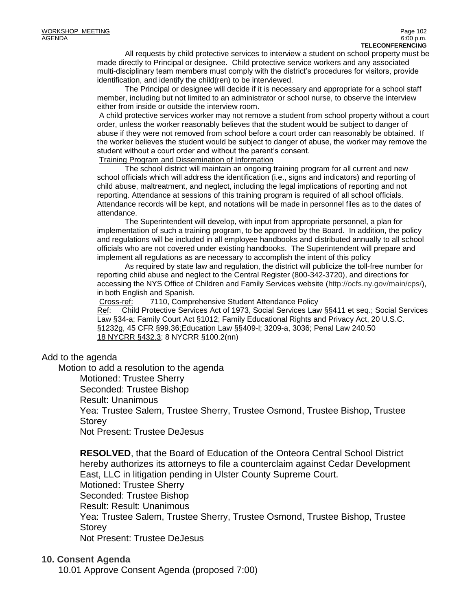All requests by child protective services to interview a student on school property must be made directly to Principal or designee. Child protective service workers and any associated multi-disciplinary team members must comply with the district's procedures for visitors, provide identification, and identify the child(ren) to be interviewed.

The Principal or designee will decide if it is necessary and appropriate for a school staff member, including but not limited to an administrator or school nurse, to observe the interview either from inside or outside the interview room.

A child protective services worker may not remove a student from school property without a court order, unless the worker reasonably believes that the student would be subject to danger of abuse if they were not removed from school before a court order can reasonably be obtained. If the worker believes the student would be subject to danger of abuse, the worker may remove the student without a court order and without the parent's consent.

Training Program and Dissemination of Information

 The school district will maintain an ongoing training program for all current and new school officials which will address the identification (i.e., signs and indicators) and reporting of child abuse, maltreatment, and neglect, including the legal implications of reporting and not reporting. Attendance at sessions of this training program is required of all school officials. Attendance records will be kept, and notations will be made in personnel files as to the dates of attendance.

 The Superintendent will develop, with input from appropriate personnel, a plan for implementation of such a training program, to be approved by the Board. In addition, the policy and regulations will be included in all employee handbooks and distributed annually to all school officials who are not covered under existing handbooks. The Superintendent will prepare and implement all regulations as are necessary to accomplish the intent of this policy

 As required by state law and regulation, the district will publicize the toll-free number for reporting child abuse and neglect to the Central Register (800-342-3720), and directions for accessing the NYS Office of Children and Family Services website [\(http://ocfs.ny.gov/main/cps/\)](http://ocfs.ny.gov/main/cps/), in both English and Spanish.

Cross-ref: 7110, Comprehensive Student Attendance Policy

Ref: Child Protective Services Act of 1973, Social Services Law §§411 et seq.; Social Services Law §34-a; Family Court Act §1012; Family Educational Rights and Privacy Act, 20 U.S.C. §1232g, 45 CFR §99.36;Education Law §§409-l; 3209-a, 3036; Penal Law 240.50 18 NYCRR §432.3; 8 NYCRR §100.2(nn)

# Add to the agenda

Motion to add a resolution to the agenda

Motioned: Trustee Sherry

Seconded: Trustee Bishop

Result: Unanimous

Yea: Trustee Salem, Trustee Sherry, Trustee Osmond, Trustee Bishop, Trustee **Storey** 

Not Present: Trustee DeJesus

**RESOLVED**, that the Board of Education of the Onteora Central School District hereby authorizes its attorneys to file a counterclaim against Cedar Development East, LLC in litigation pending in Ulster County Supreme Court. Motioned: Trustee Sherry Seconded: Trustee Bishop Result: Result: Unanimous Yea: Trustee Salem, Trustee Sherry, Trustee Osmond, Trustee Bishop, Trustee **Storey** Not Present: Trustee DeJesus

# **10. Consent Agenda**

10.01 Approve Consent Agenda (proposed 7:00)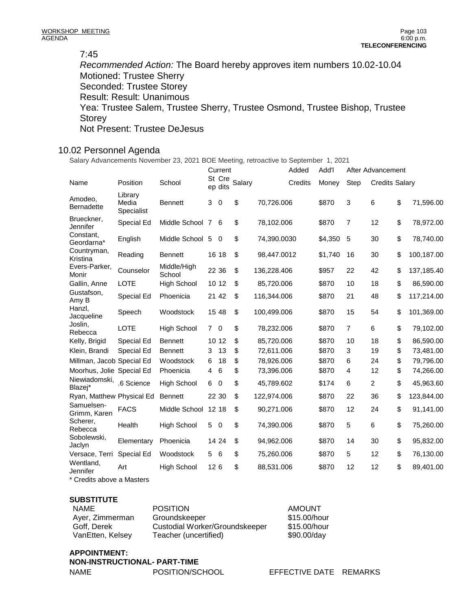### 7:45

*Recommended Action:* The Board hereby approves item numbers 10.02-10.04 Motioned: Trustee Sherry Seconded: Trustee Storey Result: Result: Unanimous Yea: Trustee Salem, Trustee Sherry, Trustee Osmond, Trustee Bishop, Trustee **Storey** Not Present: Trustee DeJesus

# 10.02 Personnel Agenda

Salary Advancements November 23, 2021 BOE Meeting, retroactive to September 1, 2021

|                                |                       |   |                 |                                                                                                                                                                                                 |         | Added   | Add'l                                                                                                                                                                                                                                                                                      |                |                |                                            |
|--------------------------------|-----------------------|---|-----------------|-------------------------------------------------------------------------------------------------------------------------------------------------------------------------------------------------|---------|---------|--------------------------------------------------------------------------------------------------------------------------------------------------------------------------------------------------------------------------------------------------------------------------------------------|----------------|----------------|--------------------------------------------|
| Position                       | School                |   |                 |                                                                                                                                                                                                 |         | Credits | Money                                                                                                                                                                                                                                                                                      | Step           |                |                                            |
| Library<br>Media<br>Specialist | <b>Bennett</b>        | 3 |                 | \$                                                                                                                                                                                              |         |         | \$870                                                                                                                                                                                                                                                                                      | 3              | 6              | \$<br>71,596.00                            |
| Special Ed                     |                       |   |                 | \$                                                                                                                                                                                              |         |         | \$870                                                                                                                                                                                                                                                                                      | $\overline{7}$ | 12             | \$<br>78,972.00                            |
| English                        |                       |   |                 | \$                                                                                                                                                                                              |         |         | \$4,350                                                                                                                                                                                                                                                                                    | 5              | 30             | \$<br>78,740.00                            |
| Reading                        | <b>Bennett</b>        |   |                 | \$                                                                                                                                                                                              |         |         | \$1,740                                                                                                                                                                                                                                                                                    | 16             | 30             | \$<br>100,187.00                           |
| Counselor                      | Middle/High<br>School |   |                 | \$                                                                                                                                                                                              |         |         | \$957                                                                                                                                                                                                                                                                                      | 22             | 42             | \$<br>137,185.40                           |
| <b>LOTE</b>                    | <b>High School</b>    |   |                 | \$                                                                                                                                                                                              |         |         | \$870                                                                                                                                                                                                                                                                                      | 10             | 18             | \$<br>86,590.00                            |
| Special Ed                     | Phoenicia             |   |                 | \$                                                                                                                                                                                              |         |         | \$870                                                                                                                                                                                                                                                                                      | 21             | 48             | \$<br>117,214.00                           |
| Speech                         | Woodstock             |   |                 | \$                                                                                                                                                                                              |         |         | \$870                                                                                                                                                                                                                                                                                      | 15             | 54             | \$<br>101,369.00                           |
| <b>LOTE</b>                    | <b>High School</b>    |   |                 | \$                                                                                                                                                                                              |         |         | \$870                                                                                                                                                                                                                                                                                      | 7              | 6              | \$<br>79,102.00                            |
| Special Ed                     | <b>Bennett</b>        |   |                 | \$                                                                                                                                                                                              |         |         | \$870                                                                                                                                                                                                                                                                                      | 10             | 18             | \$<br>86,590.00                            |
| Special Ed                     | <b>Bennett</b>        | 3 | 13              | \$                                                                                                                                                                                              |         |         | \$870                                                                                                                                                                                                                                                                                      | 3              | 19             | \$<br>73,481.00                            |
| Millman, Jacob Special Ed      | Woodstock             | 6 | 18              | \$                                                                                                                                                                                              |         |         | \$870                                                                                                                                                                                                                                                                                      | 6              | 24             | \$<br>79,796.00                            |
| Moorhus, Jolie Special Ed      | Phoenicia             | 4 | $\,6$           | \$                                                                                                                                                                                              |         |         | \$870                                                                                                                                                                                                                                                                                      | 4              | 12             | \$<br>74,266.00                            |
| .6 Science                     | <b>High School</b>    | 6 |                 | \$                                                                                                                                                                                              |         |         | \$174                                                                                                                                                                                                                                                                                      | 6              | $\overline{2}$ | \$<br>45,963.60                            |
| Ryan, Matthew Physical Ed      | <b>Bennett</b>        |   |                 | \$                                                                                                                                                                                              |         |         | \$870                                                                                                                                                                                                                                                                                      | 22             | 36             | \$<br>123,844.00                           |
| <b>FACS</b>                    | Middle School         |   |                 | \$                                                                                                                                                                                              |         |         | \$870                                                                                                                                                                                                                                                                                      | 12             | 24             | \$<br>91,141.00                            |
| Health                         | <b>High School</b>    |   |                 | \$                                                                                                                                                                                              |         |         | \$870                                                                                                                                                                                                                                                                                      | 5              | 6              | \$<br>75,260.00                            |
| Elementary                     | Phoenicia             |   |                 | \$                                                                                                                                                                                              |         |         | \$870                                                                                                                                                                                                                                                                                      | 14             | 30             | \$<br>95,832.00                            |
| Special Ed                     | Woodstock             |   |                 | \$                                                                                                                                                                                              |         |         | \$870                                                                                                                                                                                                                                                                                      | 5              | 12             | \$<br>76,130.00                            |
| Art                            | <b>High School</b>    |   |                 | \$                                                                                                                                                                                              |         |         | \$870                                                                                                                                                                                                                                                                                      | 12             | 12             | \$<br>89,401.00                            |
|                                |                       |   | Middle School 7 | St Cre<br>ep dits<br>$\mathbf 0$<br>- 6<br>Middle School 5 0<br>16 18<br>22 36<br>10 12<br>21 42<br>15 48<br>$7\quad$ 0<br>10 12<br>$\mathbf 0$<br>22 30<br>12 18<br>5 0<br>14 24<br>5 6<br>126 | Current | Salary  | 70,726.006<br>78,102.006<br>74,390.0030<br>98,447.0012<br>136,228.406<br>85,720.006<br>116,344.006<br>100,499.006<br>78,232.006<br>85,720.006<br>72,611.006<br>78,926.006<br>73,396.006<br>45,789.602<br>122,974.006<br>90,271.006<br>74,390.006<br>94,962.006<br>75,260.006<br>88,531.006 |                |                | After Advancement<br><b>Credits Salary</b> |

\* Credits above a Masters

#### **SUBSTITUTE**

| NAME             | <b>POSITION</b>                | <b>AMOUNT</b> |
|------------------|--------------------------------|---------------|
| Ayer, Zimmerman  | Groundskeeper                  | \$15.00/hour  |
| Goff. Derek      | Custodial Worker/Groundskeeper | \$15.00/hour  |
| VanEtten, Kelsev | Teacher (uncertified)          | $$90.00$ /day |

# **APPOINTMENT:**

| NON-INSTRUCTIONAL- PART-TIME |                 |  |  |  |  |
|------------------------------|-----------------|--|--|--|--|
| NAME                         | POSITION/SCHOOL |  |  |  |  |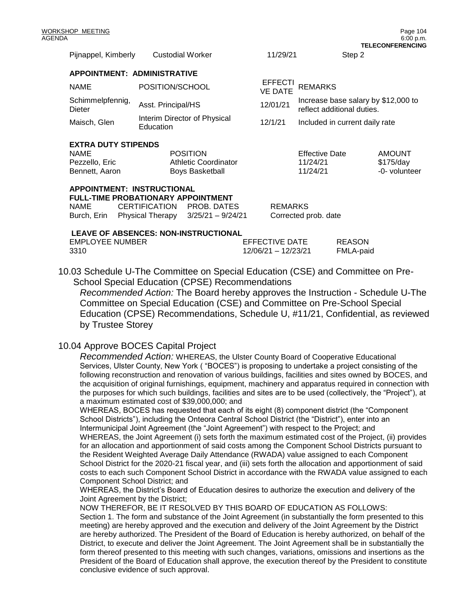| Pijnappel, Kimberly                                                               | <b>Custodial Worker</b> |                              | 11/29/21                         |                                                                   | Step 2        |  |
|-----------------------------------------------------------------------------------|-------------------------|------------------------------|----------------------------------|-------------------------------------------------------------------|---------------|--|
| <b>APPOINTMENT: ADMINISTRATIVE</b>                                                |                         |                              |                                  |                                                                   |               |  |
| <b>NAME</b>                                                                       | POSITION/SCHOOL         |                              | <b>EFFECTI</b><br><b>VE DATE</b> | <b>REMARKS</b>                                                    |               |  |
| Schimmelpfennig,<br>Dieter                                                        | Asst. Principal/HS      |                              | 12/01/21                         | Increase base salary by \$12,000 to<br>reflect additional duties. |               |  |
| Maisch, Glen                                                                      | Education               | Interim Director of Physical | 12/1/21                          | Included in current daily rate                                    |               |  |
| <b>EXTRA DUTY STIPENDS</b>                                                        |                         |                              |                                  |                                                                   |               |  |
| <b>POSITION</b><br><b>NAME</b>                                                    |                         |                              |                                  | <b>Effective Date</b>                                             | <b>AMOUNT</b> |  |
| <b>Athletic Coordinator</b><br>Pezzello, Eric                                     |                         |                              |                                  | 11/24/21                                                          | \$175/day     |  |
| Bennett, Aaron<br><b>Boys Basketball</b>                                          |                         |                              |                                  | 11/24/21                                                          | -0- volunteer |  |
| <b>APPOINTMENT: INSTRUCTIONAL</b><br><b>FULL-TIME PROBATIONARY APPOINTMENT</b>    |                         |                              |                                  |                                                                   |               |  |
| <b>NAME</b>                                                                       |                         | CERTIFICATION PROB. DATES    |                                  | <b>REMARKS</b>                                                    |               |  |
| Burch, Erin Physical Therapy $3/25/21 - 9/24/21$                                  |                         |                              |                                  | Corrected prob. date                                              |               |  |
| <b>LEAVE OF ABSENCES: NON-INSTRUCTIONAL</b><br><b>DEAOON</b><br>FUDI AVEE ULIMPER |                         |                              |                                  |                                                                   |               |  |

| <b>EMPLOYEE NUMBER</b> | EFFECTIVE DATE      | <b>REASON</b> |
|------------------------|---------------------|---------------|
| -3310                  | 12/06/21 - 12/23/21 | FMLA-paid     |
|                        |                     |               |

10.03 Schedule U-The Committee on Special Education (CSE) and Committee on Pre-School Special Education (CPSE) Recommendations

*Recommended Action:* The Board hereby approves the Instruction - Schedule U-The Committee on Special Education (CSE) and Committee on Pre-School Special Education (CPSE) Recommendations, Schedule U, #11/21, Confidential, as reviewed by Trustee Storey

# 10.04 Approve BOCES Capital Project

*Recommended Action:* WHEREAS, the Ulster County Board of Cooperative Educational Services, Ulster County, New York ( "BOCES") is proposing to undertake a project consisting of the following reconstruction and renovation of various buildings, facilities and sites owned by BOCES, and the acquisition of original furnishings, equipment, machinery and apparatus required in connection with the purposes for which such buildings, facilities and sites are to be used (collectively, the "Project"), at a maximum estimated cost of \$39,000,000; and

WHEREAS, BOCES has requested that each of its eight (8) component district (the "Component School Districts"), including the Onteora Central School District (the "District"), enter into an Intermunicipal Joint Agreement (the "Joint Agreement") with respect to the Project; and WHEREAS, the Joint Agreement (i) sets forth the maximum estimated cost of the Project, (ii) provides for an allocation and apportionment of said costs among the Component School Districts pursuant to the Resident Weighted Average Daily Attendance (RWADA) value assigned to each Component School District for the 2020-21 fiscal year, and (iii) sets forth the allocation and apportionment of said costs to each such Component School District in accordance with the RWADA value assigned to each Component School District; and

WHEREAS, the District's Board of Education desires to authorize the execution and delivery of the Joint Agreement by the District;

NOW THEREFOR, BE IT RESOLVED BY THIS BOARD OF EDUCATION AS FOLLOWS: Section 1. The form and substance of the Joint Agreement (in substantially the form presented to this meeting) are hereby approved and the execution and delivery of the Joint Agreement by the District are hereby authorized. The President of the Board of Education is hereby authorized, on behalf of the District, to execute and deliver the Joint Agreement. The Joint Agreement shall be in substantially the form thereof presented to this meeting with such changes, variations, omissions and insertions as the President of the Board of Education shall approve, the execution thereof by the President to constitute conclusive evidence of such approval.